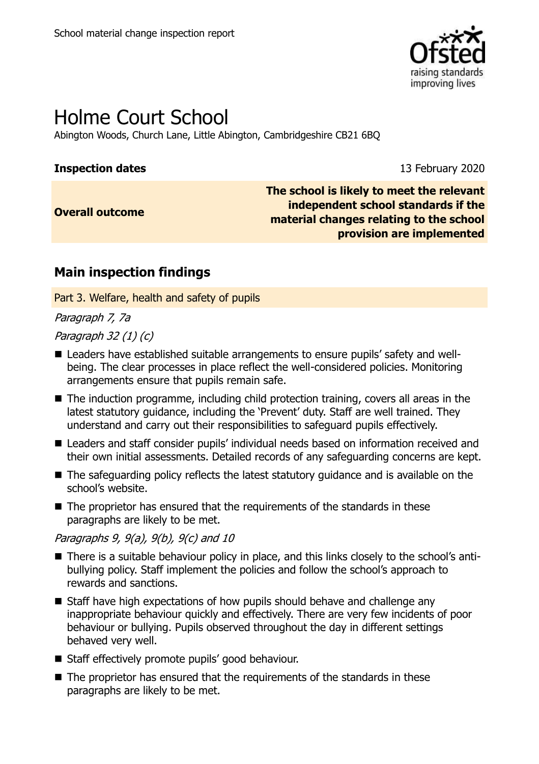

# Holme Court School

Abington Woods, Church Lane, Little Abington, Cambridgeshire CB21 6BQ

### **Inspection dates** 13 February 2020

**Overall outcome**

**The school is likely to meet the relevant independent school standards if the material changes relating to the school provision are implemented**

# **Main inspection findings**

Part 3. Welfare, health and safety of pupils

Paragraph 7, 7a

Paragraph 32 (1) (c)

- Leaders have established suitable arrangements to ensure pupils' safety and wellbeing. The clear processes in place reflect the well-considered policies. Monitoring arrangements ensure that pupils remain safe.
- The induction programme, including child protection training, covers all areas in the latest statutory guidance, including the 'Prevent' duty. Staff are well trained. They understand and carry out their responsibilities to safeguard pupils effectively.
- Leaders and staff consider pupils' individual needs based on information received and their own initial assessments. Detailed records of any safeguarding concerns are kept.
- The safeguarding policy reflects the latest statutory guidance and is available on the school's website.
- The proprietor has ensured that the requirements of the standards in these paragraphs are likely to be met.

Paragraphs 9, 9(a), 9(b), 9(c) and 10

- There is a suitable behaviour policy in place, and this links closely to the school's antibullying policy. Staff implement the policies and follow the school's approach to rewards and sanctions.
- Staff have high expectations of how pupils should behave and challenge any inappropriate behaviour quickly and effectively. There are very few incidents of poor behaviour or bullying. Pupils observed throughout the day in different settings behaved very well.
- Staff effectively promote pupils' good behaviour.
- The proprietor has ensured that the requirements of the standards in these paragraphs are likely to be met.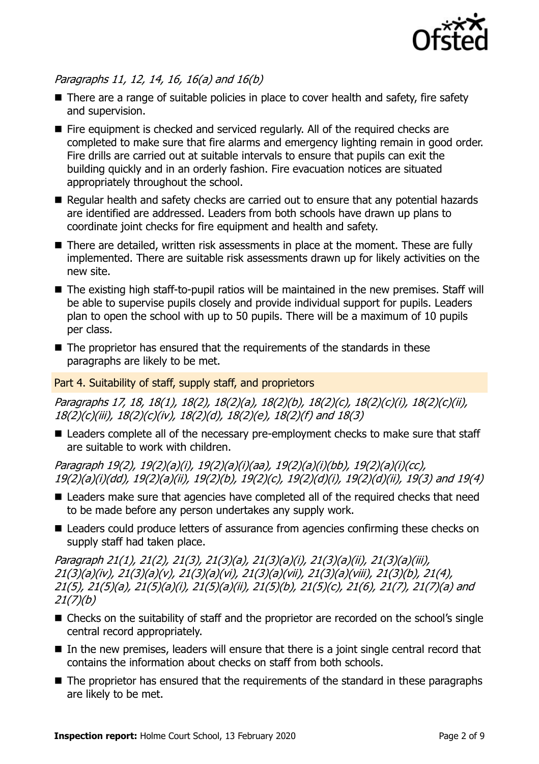

### Paragraphs 11, 12, 14, 16, 16(a) and 16(b)

- There are a range of suitable policies in place to cover health and safety, fire safety and supervision.
- $\blacksquare$  Fire equipment is checked and serviced regularly. All of the required checks are completed to make sure that fire alarms and emergency lighting remain in good order. Fire drills are carried out at suitable intervals to ensure that pupils can exit the building quickly and in an orderly fashion. Fire evacuation notices are situated appropriately throughout the school.
- Regular health and safety checks are carried out to ensure that any potential hazards are identified are addressed. Leaders from both schools have drawn up plans to coordinate joint checks for fire equipment and health and safety.
- There are detailed, written risk assessments in place at the moment. These are fully implemented. There are suitable risk assessments drawn up for likely activities on the new site.
- The existing high staff-to-pupil ratios will be maintained in the new premises. Staff will be able to supervise pupils closely and provide individual support for pupils. Leaders plan to open the school with up to 50 pupils. There will be a maximum of 10 pupils per class.
- $\blacksquare$  The proprietor has ensured that the requirements of the standards in these paragraphs are likely to be met.

#### Part 4. Suitability of staff, supply staff, and proprietors

Paragraphs 17, 18, 18(1), 18(2), 18(2)(a), 18(2)(b), 18(2)(c), 18(2)(c)(i), 18(2)(c)(ii), 18(2)(c)(iii), 18(2)(c)(iv), 18(2)(d), 18(2)(e), 18(2)(f) and 18(3)

■ Leaders complete all of the necessary pre-employment checks to make sure that staff are suitable to work with children.

Paragraph 19(2), 19(2)(a)(i), 19(2)(a)(i)(aa), 19(2)(a)(i)(bb), 19(2)(a)(i)(cc), 19(2)(a)(i)(dd), 19(2)(a)(ii), 19(2)(b), 19(2)(c), 19(2)(d)(i), 19(2)(d)(ii), 19(3) and 19(4)

- Leaders make sure that agencies have completed all of the required checks that need to be made before any person undertakes any supply work.
- Leaders could produce letters of assurance from agencies confirming these checks on supply staff had taken place.

Paragraph 21(1), 21(2), 21(3), 21(3)(a), 21(3)(a)(i), 21(3)(a)(ii), 21(3)(a)(iii), 21(3)(a)(iv), 21(3)(a)(v), 21(3)(a)(vi), 21(3)(a)(vii), 21(3)(a)(viii), 21(3)(b), 21(4), 21(5), 21(5)(a), 21(5)(a)(i), 21(5)(a)(ii), 21(5)(b), 21(5)(c), 21(6), 21(7), 21(7)(a) and 21(7)(b)

- Checks on the suitability of staff and the proprietor are recorded on the school's single central record appropriately.
- $\blacksquare$  In the new premises, leaders will ensure that there is a joint single central record that contains the information about checks on staff from both schools.
- The proprietor has ensured that the requirements of the standard in these paragraphs are likely to be met.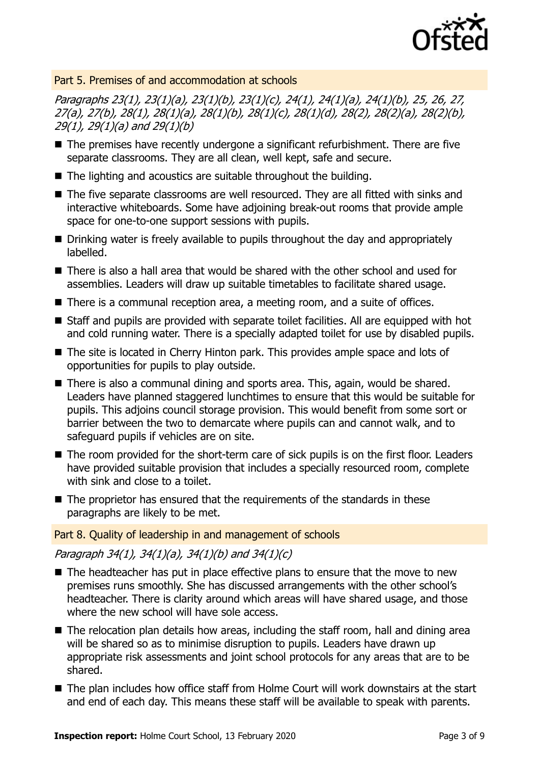

### Part 5. Premises of and accommodation at schools

Paragraphs 23(1), 23(1)(a), 23(1)(b), 23(1)(c), 24(1), 24(1)(a), 24(1)(b), 25, 26, 27, 27(a), 27(b), 28(1), 28(1)(a), 28(1)(b), 28(1)(c), 28(1)(d), 28(2), 28(2)(a), 28(2)(b), 29(1), 29(1)(a) and 29(1)(b)

- The premises have recently undergone a significant refurbishment. There are five separate classrooms. They are all clean, well kept, safe and secure.
- The lighting and acoustics are suitable throughout the building.
- The five separate classrooms are well resourced. They are all fitted with sinks and interactive whiteboards. Some have adjoining break-out rooms that provide ample space for one-to-one support sessions with pupils.
- Drinking water is freely available to pupils throughout the day and appropriately labelled.
- There is also a hall area that would be shared with the other school and used for assemblies. Leaders will draw up suitable timetables to facilitate shared usage.
- There is a communal reception area, a meeting room, and a suite of offices.
- Staff and pupils are provided with separate toilet facilities. All are equipped with hot and cold running water. There is a specially adapted toilet for use by disabled pupils.
- The site is located in Cherry Hinton park. This provides ample space and lots of opportunities for pupils to play outside.
- There is also a communal dining and sports area. This, again, would be shared. Leaders have planned staggered lunchtimes to ensure that this would be suitable for pupils. This adjoins council storage provision. This would benefit from some sort or barrier between the two to demarcate where pupils can and cannot walk, and to safeguard pupils if vehicles are on site.
- The room provided for the short-term care of sick pupils is on the first floor. Leaders have provided suitable provision that includes a specially resourced room, complete with sink and close to a toilet.
- The proprietor has ensured that the requirements of the standards in these paragraphs are likely to be met.

#### Part 8. Quality of leadership in and management of schools

Paragraph 34(1), 34(1)(a), 34(1)(b) and 34(1)(c)

- $\blacksquare$  The headteacher has put in place effective plans to ensure that the move to new premises runs smoothly. She has discussed arrangements with the other school's headteacher. There is clarity around which areas will have shared usage, and those where the new school will have sole access.
- The relocation plan details how areas, including the staff room, hall and dining area will be shared so as to minimise disruption to pupils. Leaders have drawn up appropriate risk assessments and joint school protocols for any areas that are to be shared.
- The plan includes how office staff from Holme Court will work downstairs at the start and end of each day. This means these staff will be available to speak with parents.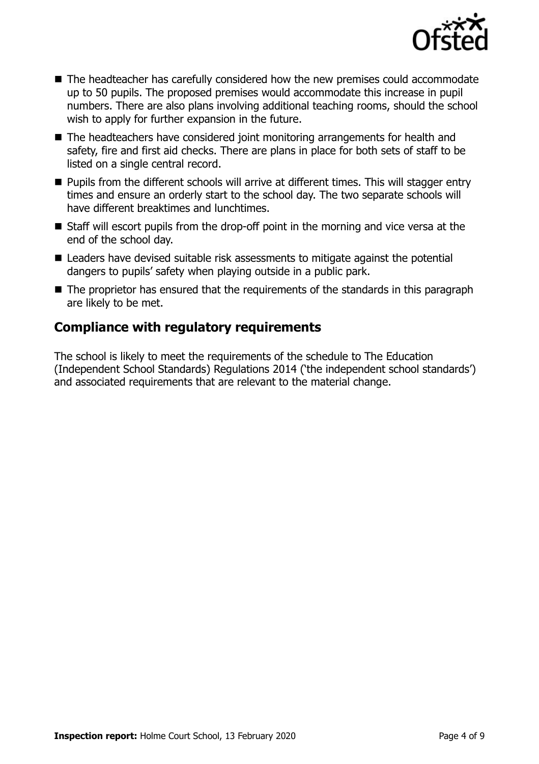

- The headteacher has carefully considered how the new premises could accommodate up to 50 pupils. The proposed premises would accommodate this increase in pupil numbers. There are also plans involving additional teaching rooms, should the school wish to apply for further expansion in the future.
- The headteachers have considered joint monitoring arrangements for health and safety, fire and first aid checks. There are plans in place for both sets of staff to be listed on a single central record.
- **Pupils from the different schools will arrive at different times. This will stagger entry** times and ensure an orderly start to the school day. The two separate schools will have different breaktimes and lunchtimes.
- Staff will escort pupils from the drop-off point in the morning and vice versa at the end of the school day.
- Leaders have devised suitable risk assessments to mitigate against the potential dangers to pupils' safety when playing outside in a public park.
- $\blacksquare$  The proprietor has ensured that the requirements of the standards in this paragraph are likely to be met.

# **Compliance with regulatory requirements**

The school is likely to meet the requirements of the schedule to The Education (Independent School Standards) Regulations 2014 ('the independent school standards') and associated requirements that are relevant to the material change.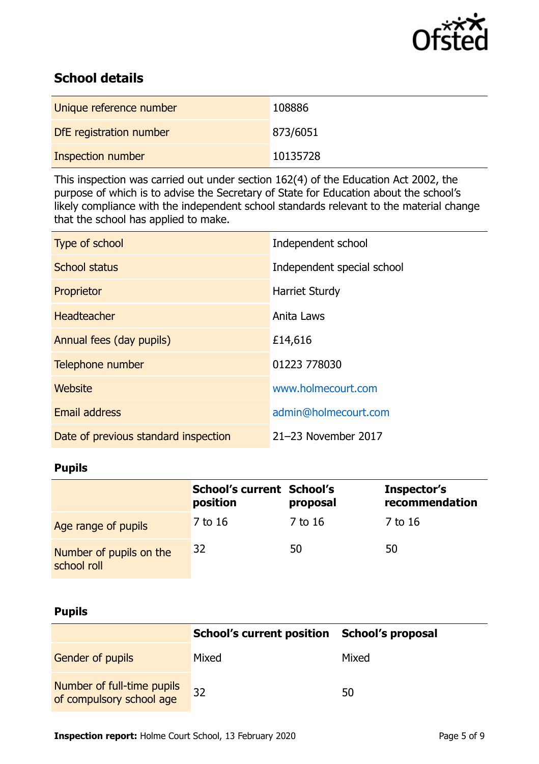

# **School details**

| Unique reference number | 108886   |
|-------------------------|----------|
| DfE registration number | 873/6051 |
| Inspection number       | 10135728 |

This inspection was carried out under section 162(4) of the Education Act 2002, the purpose of which is to advise the Secretary of State for Education about the school's likely compliance with the independent school standards relevant to the material change that the school has applied to make.

| Type of school                       | Independent school         |
|--------------------------------------|----------------------------|
| <b>School status</b>                 | Independent special school |
| Proprietor                           | <b>Harriet Sturdy</b>      |
| <b>Headteacher</b>                   | Anita Laws                 |
| Annual fees (day pupils)             | £14,616                    |
| Telephone number                     | 01223 778030               |
| Website                              | www.holmecourt.com         |
| <b>Email address</b>                 | admin@holmecourt.com       |
| Date of previous standard inspection | 21-23 November 2017        |

## **Pupils**

|                                        | School's current School's<br>position | proposal | Inspector's<br>recommendation |
|----------------------------------------|---------------------------------------|----------|-------------------------------|
| Age range of pupils                    | 7 to 16                               | 7 to 16  | 7 to 16                       |
| Number of pupils on the<br>school roll | 32                                    | 50       | 50                            |

### **Pupils**

|                                                        | School's current position School's proposal |       |
|--------------------------------------------------------|---------------------------------------------|-------|
| <b>Gender of pupils</b>                                | Mixed                                       | Mixed |
| Number of full-time pupils<br>of compulsory school age | 32                                          | 50    |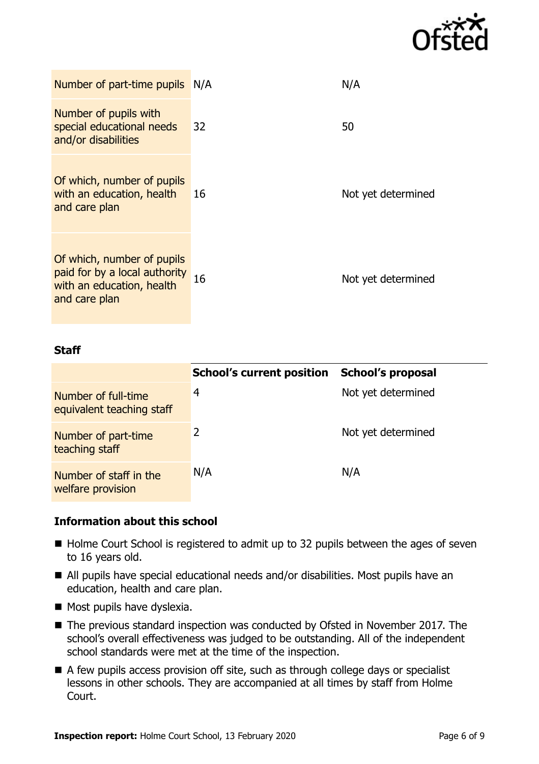

| Number of part-time pupils N/A                                                                            |    | N/A                |
|-----------------------------------------------------------------------------------------------------------|----|--------------------|
| Number of pupils with<br>special educational needs<br>and/or disabilities                                 | 32 | 50                 |
| Of which, number of pupils<br>with an education, health<br>and care plan                                  | 16 | Not yet determined |
| Of which, number of pupils<br>paid for by a local authority<br>with an education, health<br>and care plan | 16 | Not yet determined |

#### **Staff**

|                                                  | <b>School's current position</b> | <b>School's proposal</b> |
|--------------------------------------------------|----------------------------------|--------------------------|
| Number of full-time<br>equivalent teaching staff | 4                                | Not yet determined       |
| Number of part-time<br>teaching staff            |                                  | Not yet determined       |
| Number of staff in the<br>welfare provision      | N/A                              | N/A                      |

### **Information about this school**

- Holme Court School is registered to admit up to 32 pupils between the ages of seven to 16 years old.
- All pupils have special educational needs and/or disabilities. Most pupils have an education, health and care plan.
- $\blacksquare$  Most pupils have dyslexia.
- The previous standard inspection was conducted by Ofsted in November 2017. The school's overall effectiveness was judged to be outstanding. All of the independent school standards were met at the time of the inspection.
- A few pupils access provision off site, such as through college days or specialist lessons in other schools. They are accompanied at all times by staff from Holme Court.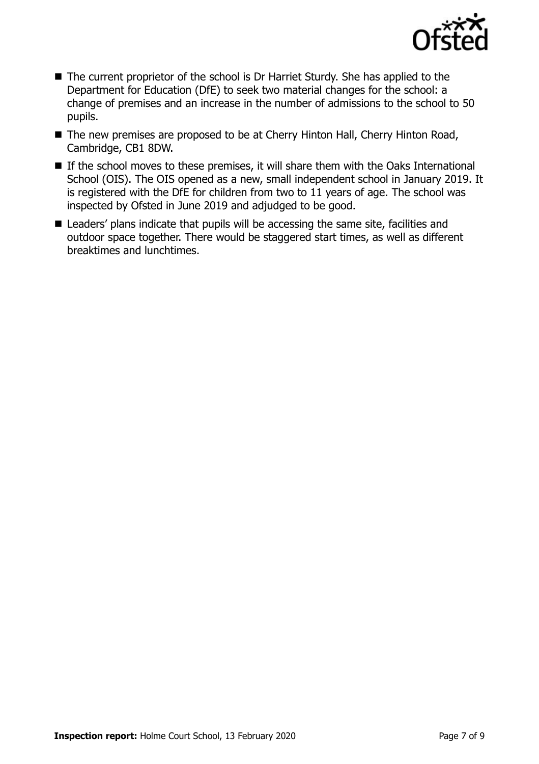

- The current proprietor of the school is Dr Harriet Sturdy. She has applied to the Department for Education (DfE) to seek two material changes for the school: a change of premises and an increase in the number of admissions to the school to 50 pupils.
- The new premises are proposed to be at Cherry Hinton Hall, Cherry Hinton Road, Cambridge, CB1 8DW.
- If the school moves to these premises, it will share them with the Oaks International School (OIS). The OIS opened as a new, small independent school in January 2019. It is registered with the DfE for children from two to 11 years of age. The school was inspected by Ofsted in June 2019 and adjudged to be good.
- Leaders' plans indicate that pupils will be accessing the same site, facilities and outdoor space together. There would be staggered start times, as well as different breaktimes and lunchtimes.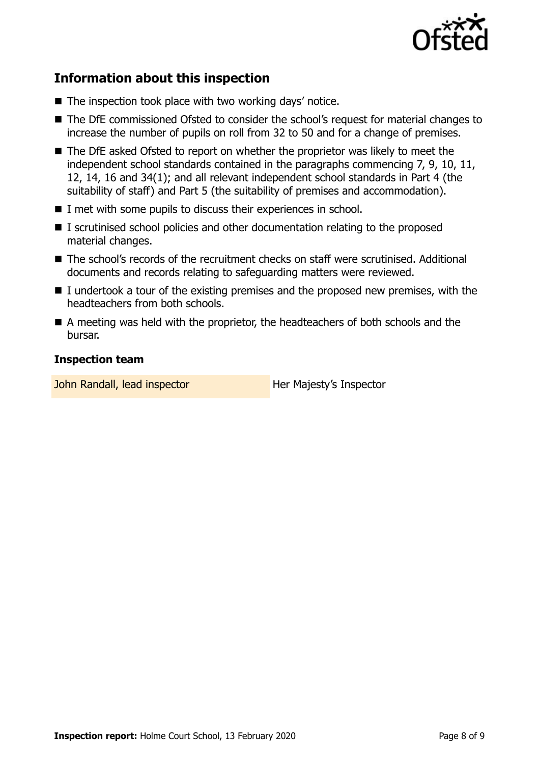

# **Information about this inspection**

- $\blacksquare$  The inspection took place with two working days' notice.
- The DfE commissioned Ofsted to consider the school's request for material changes to increase the number of pupils on roll from 32 to 50 and for a change of premises.
- The DfE asked Ofsted to report on whether the proprietor was likely to meet the independent school standards contained in the paragraphs commencing 7, 9, 10, 11, 12, 14, 16 and 34(1); and all relevant independent school standards in Part 4 (the suitability of staff) and Part 5 (the suitability of premises and accommodation).
- I met with some pupils to discuss their experiences in school.
- I scrutinised school policies and other documentation relating to the proposed material changes.
- The school's records of the recruitment checks on staff were scrutinised. Additional documents and records relating to safeguarding matters were reviewed.
- $\blacksquare$  I undertook a tour of the existing premises and the proposed new premises, with the headteachers from both schools.
- A meeting was held with the proprietor, the headteachers of both schools and the bursar.

### **Inspection team**

John Randall, lead inspector **Her Majesty's Inspector**